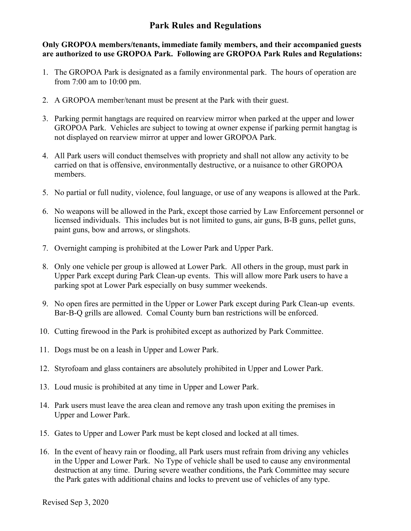## **Park Rules and Regulations**

**Only GROPOA members/tenants, immediate family members, and their accompanied guests are authorized to use GROPOA Park. Following are GROPOA Park Rules and Regulations:**

- 1. The GROPOA Park is designated as a family environmental park. The hours of operation are from 7:00 am to 10:00 pm.
- 2. A GROPOA member/tenant must be present at the Park with their guest.
- 3. Parking permit hangtags are required on rearview mirror when parked at the upper and lower GROPOA Park. Vehicles are subject to towing at owner expense if parking permit hangtag is not displayed on rearview mirror at upper and lower GROPOA Park.
- 4. All Park users will conduct themselves with propriety and shall not allow any activity to be carried on that is offensive, environmentally destructive, or a nuisance to other GROPOA members.
- 5. No partial or full nudity, violence, foul language, or use of any weapons is allowed at the Park.
- 6. No weapons will be allowed in the Park, except those carried by Law Enforcement personnel or licensed individuals. This includes but is not limited to guns, air guns, B-B guns, pellet guns, paint guns, bow and arrows, or slingshots.
- 7. Overnight camping is prohibited at the Lower Park and Upper Park.
- 8. Only one vehicle per group is allowed at Lower Park. All others in the group, must park in Upper Park except during Park Clean-up events. This will allow more Park users to have a parking spot at Lower Park especially on busy summer weekends.
- 9. No open fires are permitted in the Upper or Lower Park except during Park Clean-up events. Bar-B-Q grills are allowed. Comal County burn ban restrictions will be enforced.
- 10. Cutting firewood in the Park is prohibited except as authorized by Park Committee.
- 11. Dogs must be on a leash in Upper and Lower Park.
- 12. Styrofoam and glass containers are absolutely prohibited in Upper and Lower Park.
- 13. Loud music is prohibited at any time in Upper and Lower Park.
- 14. Park users must leave the area clean and remove any trash upon exiting the premises in Upper and Lower Park.
- 15. Gates to Upper and Lower Park must be kept closed and locked at all times.
- 16. In the event of heavy rain or flooding, all Park users must refrain from driving any vehicles in the Upper and Lower Park. No Type of vehicle shall be used to cause any environmental destruction at any time. During severe weather conditions, the Park Committee may secure the Park gates with additional chains and locks to prevent use of vehicles of any type.